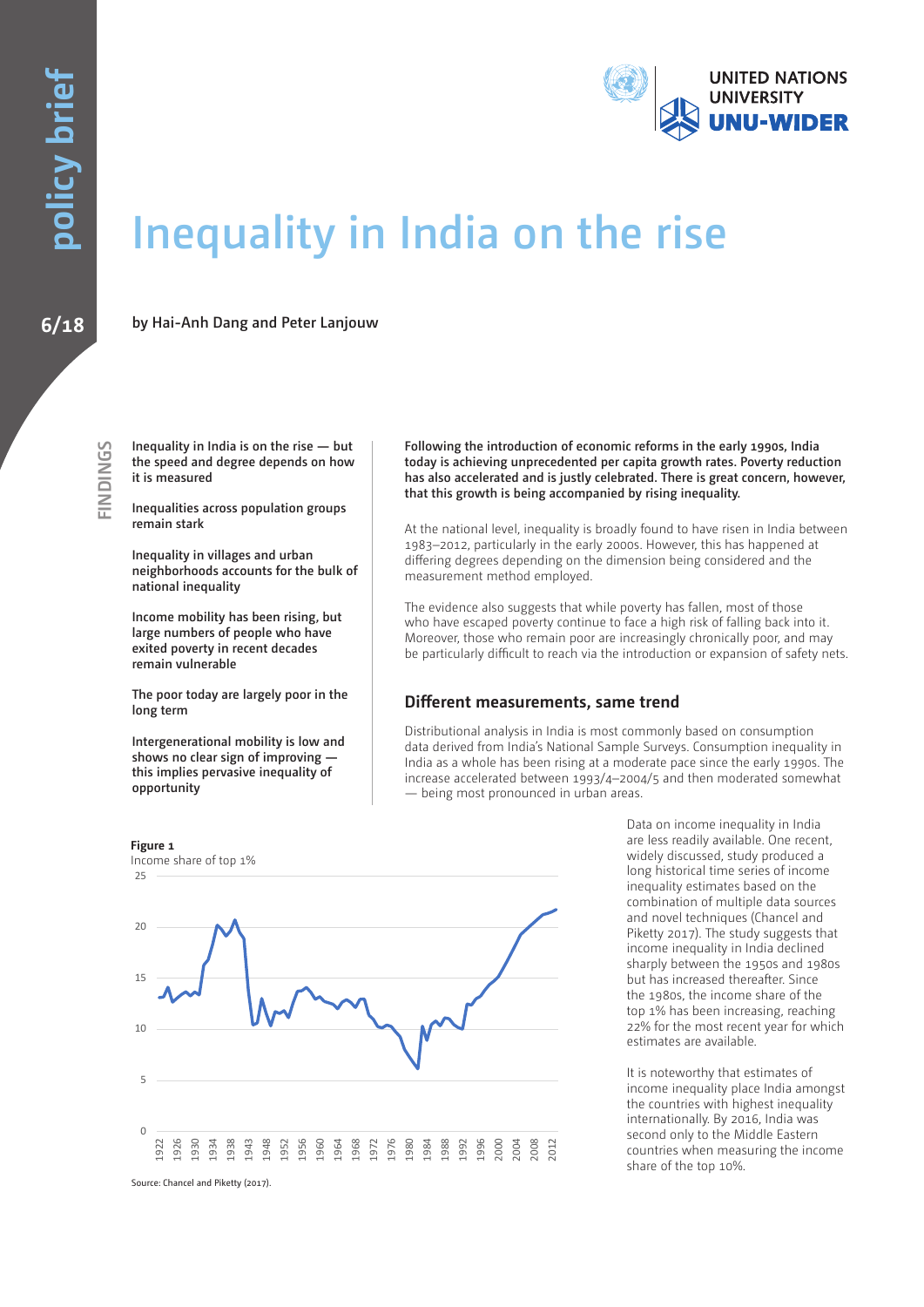

# **Inequality in India on the rise**

**6/18 by Hai-Anh Dang and Peter Lanjouw**

**Inequality in India is on the rise — but the speed and degree depends on how it is measured** 

**Inequalities across population groups remain stark**

**Inequality in villages and urban neighborhoods accounts for the bulk of national inequality** 

**Income mobility has been rising, but large numbers of people who have exited poverty in recent decades remain vulnerable** 

**The poor today are largely poor in the long term**

**Intergenerational mobility is low and shows no clear sign of improving this implies pervasive inequality of opportunity** 

**Following the introduction of economic reforms in the early 1990s, India today is achieving unprecedented per capita growth rates. Poverty reduction has also accelerated and is justly celebrated. There is great concern, however, that this growth is being accompanied by rising inequality.** 

At the national level, inequality is broadly found to have risen in India between 1983–2012, particularly in the early 2000s. However, this has happened at differing degrees depending on the dimension being considered and the measurement method employed.

The evidence also suggests that while poverty has fallen, most of those who have escaped poverty continue to face a high risk of falling back into it. Moreover, those who remain poor are increasingly chronically poor, and may be particularly difficult to reach via the introduction or expansion of safety nets.

### **Different measurements, same trend**

Distributional analysis in India is most commonly based on consumption data derived from India's National Sample Surveys. Consumption inequality in India as a whole has been rising at a moderate pace since the early 1990s. The increase accelerated between 1993/4–2004/5 and then moderated somewhat — being most pronounced in urban areas.



Data on income inequality in India are less readily available. One recent, widely discussed, study produced a long historical time series of income inequality estimates based on the combination of multiple data sources and novel techniques (Chancel and Piketty 2017). The study suggests that income inequality in India declined sharply between the 1950s and 1980s but has increased thereafter. Since the 1980s, the income share of the top 1% has been increasing, reaching 22% for the most recent year for which estimates are available.

It is noteworthy that estimates of income inequality place India amongst the countries with highest inequality internationally. By 2016, India was second only to the Middle Eastern countries when measuring the income share of the top 10%.

Source: Chancel and Piketty (2017).